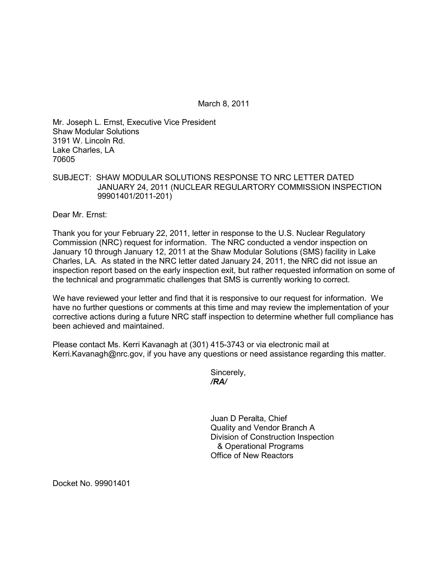March 8, 2011

Mr. Joseph L. Ernst, Executive Vice President Shaw Modular Solutions 3191 W. Lincoln Rd. Lake Charles, LA 70605

## SUBJECT: SHAW MODULAR SOLUTIONS RESPONSE TO NRC LETTER DATED JANUARY 24, 2011 (NUCLEAR REGULARTORY COMMISSION INSPECTION 99901401/2011-201)

Dear Mr. Ernst:

Thank you for your February 22, 2011, letter in response to the U.S. Nuclear Regulatory Commission (NRC) request for information. The NRC conducted a vendor inspection on January 10 through January 12, 2011 at the Shaw Modular Solutions (SMS) facility in Lake Charles, LA. As stated in the NRC letter dated January 24, 2011, the NRC did not issue an inspection report based on the early inspection exit, but rather requested information on some of the technical and programmatic challenges that SMS is currently working to correct.

We have reviewed your letter and find that it is responsive to our request for information. We have no further questions or comments at this time and may review the implementation of your corrective actions during a future NRC staff inspection to determine whether full compliance has been achieved and maintained.

Please contact Ms. Kerri Kavanagh at (301) 415-3743 or via electronic mail at Kerri.Kavanagh@nrc.gov, if you have any questions or need assistance regarding this matter.

Sincerely, */RA/* 

> Juan D Peralta, Chief Quality and Vendor Branch A Division of Construction Inspection & Operational Programs Office of New Reactors

Docket No. 99901401